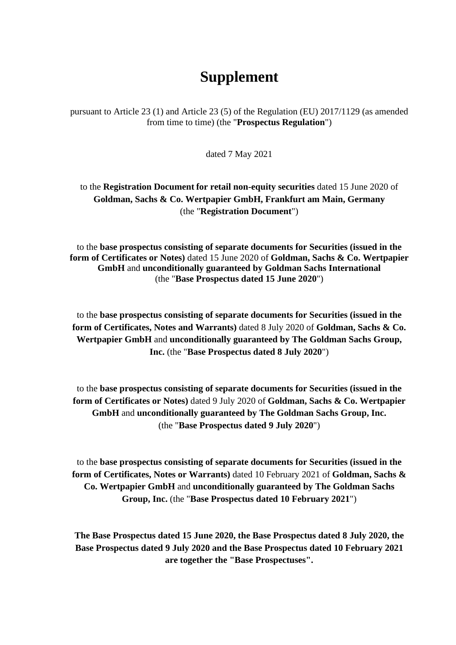# **Supplement**

pursuant to Article 23 (1) and Article 23 (5) of the Regulation (EU) 2017/1129 (as amended from time to time) (the "**Prospectus Regulation**")

dated 7 May 2021

to the **Registration Document for retail non-equity securities** dated 15 June 2020 of **Goldman, Sachs & Co. Wertpapier GmbH, Frankfurt am Main, Germany**  (the "**Registration Document**")

to the **base prospectus consisting of separate documents for Securities (issued in the form of Certificates or Notes)** dated 15 June 2020 of **Goldman, Sachs & Co. Wertpapier GmbH** and **unconditionally guaranteed by Goldman Sachs International**  (the "**Base Prospectus dated 15 June 2020**")

to the **base prospectus consisting of separate documents for Securities (issued in the form of Certificates, Notes and Warrants)** dated 8 July 2020 of **Goldman, Sachs & Co. Wertpapier GmbH** and **unconditionally guaranteed by The Goldman Sachs Group, Inc.** (the "**Base Prospectus dated 8 July 2020**")

to the **base prospectus consisting of separate documents for Securities (issued in the form of Certificates or Notes)** dated 9 July 2020 of **Goldman, Sachs & Co. Wertpapier GmbH** and **unconditionally guaranteed by The Goldman Sachs Group, Inc.** (the "**Base Prospectus dated 9 July 2020**")

to the **base prospectus consisting of separate documents for Securities (issued in the form of Certificates, Notes or Warrants)** dated 10 February 2021 of **Goldman, Sachs & Co. Wertpapier GmbH** and **unconditionally guaranteed by The Goldman Sachs Group, Inc.** (the "**Base Prospectus dated 10 February 2021**")

**The Base Prospectus dated 15 June 2020, the Base Prospectus dated 8 July 2020, the Base Prospectus dated 9 July 2020 and the Base Prospectus dated 10 February 2021 are together the "Base Prospectuses".**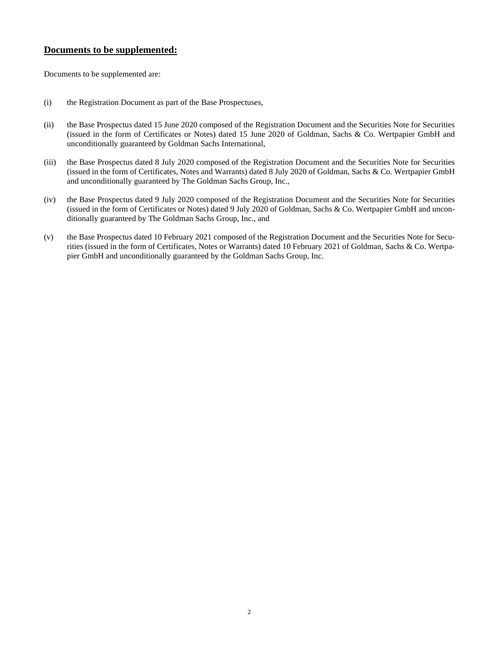# **Documents to be supplemented:**

Documents to be supplemented are:

- (i) the Registration Document as part of the Base Prospectuses,
- (ii) the Base Prospectus dated 15 June 2020 composed of the Registration Document and the Securities Note for Securities (issued in the form of Certificates or Notes) dated 15 June 2020 of Goldman, Sachs & Co. Wertpapier GmbH and unconditionally guaranteed by Goldman Sachs International,
- (iii) the Base Prospectus dated 8 July 2020 composed of the Registration Document and the Securities Note for Securities (issued in the form of Certificates, Notes and Warrants) dated 8 July 2020 of Goldman, Sachs & Co. Wertpapier GmbH and unconditionally guaranteed by The Goldman Sachs Group, Inc.,
- (iv) the Base Prospectus dated 9 July 2020 composed of the Registration Document and the Securities Note for Securities (issued in the form of Certificates or Notes) dated 9 July 2020 of Goldman, Sachs & Co. Wertpapier GmbH and unconditionally guaranteed by The Goldman Sachs Group, Inc., and
- (v) the Base Prospectus dated 10 February 2021 composed of the Registration Document and the Securities Note for Securities (issued in the form of Certificates, Notes or Warrants) dated 10 February 2021 of Goldman, Sachs & Co. Wertpapier GmbH and unconditionally guaranteed by the Goldman Sachs Group, Inc.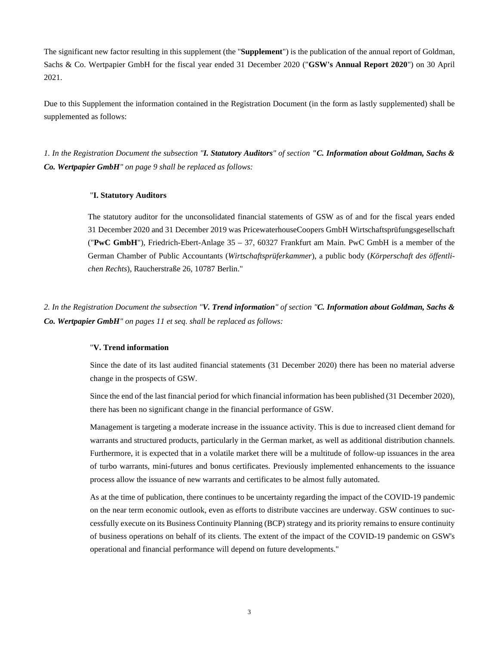The significant new factor resulting in this supplement (the "**Supplement**") is the publication of the annual report of Goldman, Sachs & Co. Wertpapier GmbH for the fiscal year ended 31 December 2020 ("**GSW's Annual Report 2020**") on 30 April 2021.

Due to this Supplement the information contained in the Registration Document (in the form as lastly supplemented) shall be supplemented as follows:

*1. In the Registration Document the subsection "I. Statutory Auditors" of section "C. Information about Goldman, Sachs & Co. Wertpapier GmbH" on page 9 shall be replaced as follows:* 

#### "**I. Statutory Auditors**

The statutory auditor for the unconsolidated financial statements of GSW as of and for the fiscal years ended 31 December 2020 and 31 December 2019 was PricewaterhouseCoopers GmbH Wirtschaftsprüfungsgesellschaft ("**PwC GmbH**"), Friedrich-Ebert-Anlage 35 – 37, 60327 Frankfurt am Main. PwC GmbH is a member of the German Chamber of Public Accountants (*Wirtschaftsprüferkammer*), a public body (*Körperschaft des öffentlichen Rechts*), Raucherstraße 26, 10787 Berlin."

*2. In the Registration Document the subsection "V. Trend information" of section "C. Information about Goldman, Sachs & Co. Wertpapier GmbH" on pages 11 et seq. shall be replaced as follows:* 

### "**V. Trend information**

Since the date of its last audited financial statements (31 December 2020) there has been no material adverse change in the prospects of GSW.

Since the end of the last financial period for which financial information has been published (31 December 2020), there has been no significant change in the financial performance of GSW.

Management is targeting a moderate increase in the issuance activity. This is due to increased client demand for warrants and structured products, particularly in the German market, as well as additional distribution channels. Furthermore, it is expected that in a volatile market there will be a multitude of follow-up issuances in the area of turbo warrants, mini-futures and bonus certificates. Previously implemented enhancements to the issuance process allow the issuance of new warrants and certificates to be almost fully automated.

As at the time of publication, there continues to be uncertainty regarding the impact of the COVID-19 pandemic on the near term economic outlook, even as efforts to distribute vaccines are underway. GSW continues to successfully execute on its Business Continuity Planning (BCP) strategy and its priority remains to ensure continuity of business operations on behalf of its clients. The extent of the impact of the COVID-19 pandemic on GSW's operational and financial performance will depend on future developments."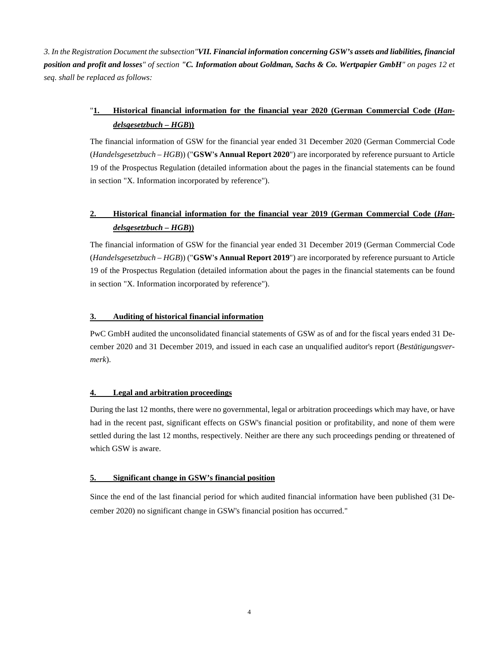*3. In the Registration Document the subsection"VII. Financial information concerning GSW's assets and liabilities, financial position and profit and losses" of section "C. Information about Goldman, Sachs & Co. Wertpapier GmbH" on pages 12 et seq. shall be replaced as follows:* 

# "**1. Historical financial information for the financial year 2020 (German Commercial Code (***Handelsgesetzbuch – HGB***))**

The financial information of GSW for the financial year ended 31 December 2020 (German Commercial Code (*Handelsgesetzbuch – HGB*)) ("**GSW's Annual Report 2020**") are incorporated by reference pursuant to Article 19 of the Prospectus Regulation (detailed information about the pages in the financial statements can be found in section "X. Information incorporated by reference").

# **2. Historical financial information for the financial year 2019 (German Commercial Code (***Handelsgesetzbuch – HGB***))**

The financial information of GSW for the financial year ended 31 December 2019 (German Commercial Code (*Handelsgesetzbuch – HGB*)) ("**GSW's Annual Report 2019**") are incorporated by reference pursuant to Article 19 of the Prospectus Regulation (detailed information about the pages in the financial statements can be found in section "X. Information incorporated by reference").

### **3. Auditing of historical financial information**

PwC GmbH audited the unconsolidated financial statements of GSW as of and for the fiscal years ended 31 December 2020 and 31 December 2019, and issued in each case an unqualified auditor's report (*Bestätigungsvermerk*).

### **4. Legal and arbitration proceedings**

During the last 12 months, there were no governmental, legal or arbitration proceedings which may have, or have had in the recent past, significant effects on GSW's financial position or profitability, and none of them were settled during the last 12 months, respectively. Neither are there any such proceedings pending or threatened of which GSW is aware.

### **5. Significant change in GSW's financial position**

Since the end of the last financial period for which audited financial information have been published (31 December 2020) no significant change in GSW's financial position has occurred."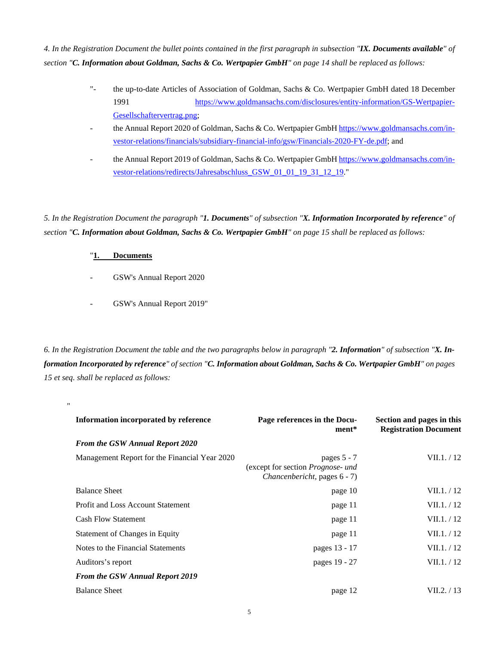*4. In the Registration Document the bullet points contained in the first paragraph in subsection "IX. Documents available" of section "C. Information about Goldman, Sachs & Co. Wertpapier GmbH" on page 14 shall be replaced as follows:* 

- "the up-to-date Articles of Association of Goldman, Sachs & Co. Wertpapier GmbH dated 18 December 1991 [https://www.goldmansachs.com/disclosures/entity-information/GS-Wertpapier-](https://www.goldmansachs.com/disclosures/entity-information/GS-Wertpapier-Gesellschaftervertrag.png)[Gesellschaftervertrag.png;](https://www.goldmansachs.com/disclosures/entity-information/GS-Wertpapier-Gesellschaftervertrag.png)
- the Annual Report 2020 of Goldman, Sachs & Co. Wertpapier GmbH [https://www.goldmansachs.com/in](https://www.goldmansachs.com/investor-relations/financials/subsidiary-financial-info/gsw/Financials-2020-FY-de.pdf)[vestor-relations/financials/subsidiary-financial-info/gsw/Financials-2020-FY-de.pdf; and](https://www.goldmansachs.com/investor-relations/financials/subsidiary-financial-info/gsw/Financials-2020-FY-de.pdf)
- the Annual Report 2019 of Goldman, Sachs & Co. Wertpapier GmbH [https://www.goldmansachs.com/in](https://www.goldmansachs.com/investor-relations/redirects/Jahresabschluss_GSW_01_01_19_31_12_19)[vestor-relations/redirects/Jahresabschluss\\_GSW\\_01\\_01\\_19\\_31\\_12\\_19."](https://www.goldmansachs.com/investor-relations/redirects/Jahresabschluss_GSW_01_01_19_31_12_19)

*5. In the Registration Document the paragraph "1. Documents" of subsection "X. Information Incorporated by reference" of section "C. Information about Goldman, Sachs & Co. Wertpapier GmbH" on page 15 shall be replaced as follows:* 

## "**1. Documents**

"

- GSW's Annual Report 2020
- GSW's Annual Report 2019"

*6. In the Registration Document the table and the two paragraphs below in paragraph "2. Information" of subsection "X. Information Incorporated by reference" of section "C. Information about Goldman, Sachs & Co. Wertpapier GmbH" on pages 15 et seq. shall be replaced as follows:* 

| Information incorporated by reference         | Page references in the Docu-<br>ment*                                              | Section and pages in this<br><b>Registration Document</b> |
|-----------------------------------------------|------------------------------------------------------------------------------------|-----------------------------------------------------------|
| <b>From the GSW Annual Report 2020</b>        |                                                                                    |                                                           |
| Management Report for the Financial Year 2020 | pages $5 - 7$<br>(except for section Prognose- und<br>Chancenbericht, pages 6 - 7) | VII.1. / 12                                               |
| <b>Balance Sheet</b>                          | page 10                                                                            | VII.1. / 12                                               |
| <b>Profit and Loss Account Statement</b>      | page 11                                                                            | VII.1. / 12                                               |
| <b>Cash Flow Statement</b>                    | page 11                                                                            | VII.1. / 12                                               |
| Statement of Changes in Equity                | page 11                                                                            | VII.1. / 12                                               |
| Notes to the Financial Statements             | pages 13 - 17                                                                      | VII.1. / 12                                               |
| Auditors's report                             | pages 19 - 27                                                                      | VII.1. / 12                                               |
| <b>From the GSW Annual Report 2019</b>        |                                                                                    |                                                           |
| <b>Balance Sheet</b>                          | page 12                                                                            | VII.2. / 13                                               |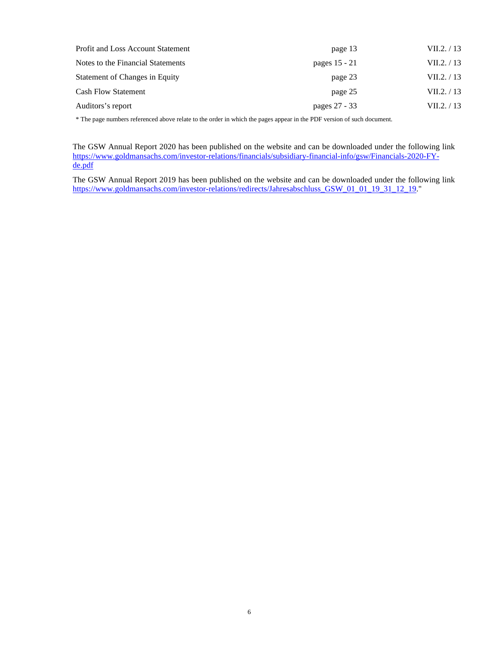| Profit and Loss Account Statement | page 13       | VII.2. / 13 |
|-----------------------------------|---------------|-------------|
| Notes to the Financial Statements | pages 15 - 21 | VII.2. / 13 |
| Statement of Changes in Equity    | page 23       | VII.2. / 13 |
| <b>Cash Flow Statement</b>        | page 25       | VII.2. / 13 |
| Auditors's report                 | pages 27 - 33 | VII.2. / 13 |

\* The page numbers referenced above relate to the order in which the pages appear in the PDF version of such document.

The GSW Annual Report 2020 has been published on the website and can be downloaded under the following link [https://www.goldmansachs.com/investor-relations/financials/subsidiary-financial-info/gsw/Financials-2020-FY](https://www.goldmansachs.com/investor-relations/financials/subsidiary-financial-info/gsw/Financials-2020-FY-de.pdf)[de.pdf](https://www.goldmansachs.com/investor-relations/financials/subsidiary-financial-info/gsw/Financials-2020-FY-de.pdf)

The GSW Annual Report 2019 has been published on the website and can be downloaded under the following link https://www.goldmansachs.com/investor-relations/redirects/Jahresabschluss GSW 01 01 19 31 12 19."